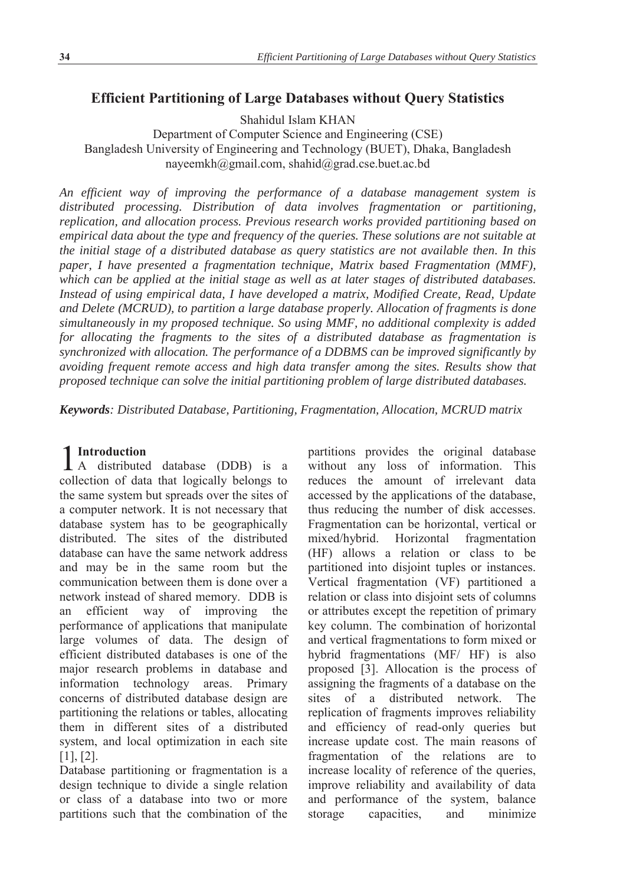# **Efficient Partitioning of Large Databases without Query Statistics**

Shahidul Islam KHAN

Department of Computer Science and Engineering (CSE) Bangladesh University of Engineering and Technology (BUET), Dhaka, Bangladesh nayeemkh@gmail.com, shahid@grad.cse.buet.ac.bd

*An efficient way of improving the performance of a database management system is distributed processing. Distribution of data involves fragmentation or partitioning, replication, and allocation process. Previous research works provided partitioning based on empirical data about the type and frequency of the queries. These solutions are not suitable at the initial stage of a distributed database as query statistics are not available then. In this paper, I have presented a fragmentation technique, Matrix based Fragmentation (MMF), which can be applied at the initial stage as well as at later stages of distributed databases. Instead of using empirical data, I have developed a matrix, Modified Create, Read, Update and Delete (MCRUD), to partition a large database properly. Allocation of fragments is done simultaneously in my proposed technique. So using MMF, no additional complexity is added for allocating the fragments to the sites of a distributed database as fragmentation is synchronized with allocation. The performance of a DDBMS can be improved significantly by avoiding frequent remote access and high data transfer among the sites. Results show that proposed technique can solve the initial partitioning problem of large distributed databases.* 

*Keywords: Distributed Database, Partitioning, Fragmentation, Allocation, MCRUD matrix* 

## **Introduction**

1 Introduction<br>
A distributed database (DDB) is a collection of data that logically belongs to the same system but spreads over the sites of a computer network. It is not necessary that database system has to be geographically distributed. The sites of the distributed database can have the same network address and may be in the same room but the communication between them is done over a network instead of shared memory. DDB is an efficient way of improving the performance of applications that manipulate large volumes of data. The design of efficient distributed databases is one of the major research problems in database and information technology areas. Primary concerns of distributed database design are partitioning the relations or tables, allocating them in different sites of a distributed system, and local optimization in each site [1], [2].

Database partitioning or fragmentation is a design technique to divide a single relation or class of a database into two or more partitions such that the combination of the partitions provides the original database without any loss of information. This reduces the amount of irrelevant data accessed by the applications of the database, thus reducing the number of disk accesses. Fragmentation can be horizontal, vertical or mixed/hybrid. Horizontal fragmentation (HF) allows a relation or class to be partitioned into disjoint tuples or instances. Vertical fragmentation (VF) partitioned a relation or class into disjoint sets of columns or attributes except the repetition of primary key column. The combination of horizontal and vertical fragmentations to form mixed or hybrid fragmentations (MF/ HF) is also proposed [3]. Allocation is the process of assigning the fragments of a database on the sites of a distributed network. The replication of fragments improves reliability and efficiency of read-only queries but increase update cost. The main reasons of fragmentation of the relations are to increase locality of reference of the queries, improve reliability and availability of data and performance of the system, balance storage capacities, and minimize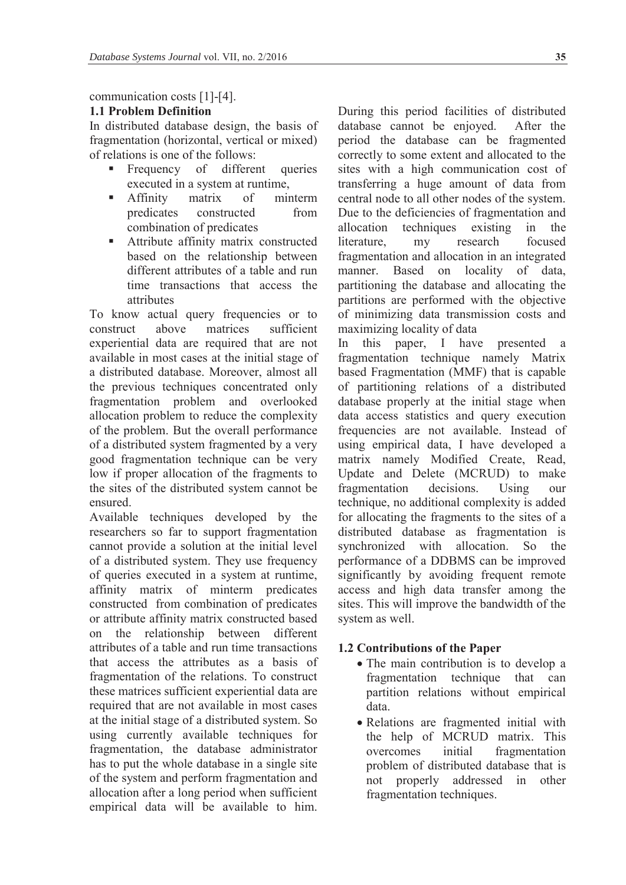## communication costs [1]-[4].

## **1.1 Problem Definition**

In distributed database design, the basis of fragmentation (horizontal, vertical or mixed) of relations is one of the follows:

- Frequency of different queries executed in a system at runtime,
- **Affinity** matrix of minterm predicates constructed from combination of predicates
- **Attribute affinity matrix constructed** based on the relationship between different attributes of a table and run time transactions that access the attributes

To know actual query frequencies or to construct above matrices sufficient experiential data are required that are not available in most cases at the initial stage of a distributed database. Moreover, almost all the previous techniques concentrated only fragmentation problem and overlooked allocation problem to reduce the complexity of the problem. But the overall performance of a distributed system fragmented by a very good fragmentation technique can be very low if proper allocation of the fragments to the sites of the distributed system cannot be ensured.

Available techniques developed by the researchers so far to support fragmentation cannot provide a solution at the initial level of a distributed system. They use frequency of queries executed in a system at runtime, affinity matrix of minterm predicates constructed from combination of predicates or attribute affinity matrix constructed based on the relationship between different attributes of a table and run time transactions that access the attributes as a basis of fragmentation of the relations. To construct these matrices sufficient experiential data are required that are not available in most cases at the initial stage of a distributed system. So using currently available techniques for fragmentation, the database administrator has to put the whole database in a single site of the system and perform fragmentation and allocation after a long period when sufficient empirical data will be available to him.

During this period facilities of distributed database cannot be enjoyed. After the period the database can be fragmented correctly to some extent and allocated to the sites with a high communication cost of transferring a huge amount of data from central node to all other nodes of the system. Due to the deficiencies of fragmentation and allocation techniques existing in the literature, my research focused fragmentation and allocation in an integrated manner. Based on locality of data, partitioning the database and allocating the partitions are performed with the objective of minimizing data transmission costs and maximizing locality of data

In this paper, I have presented a fragmentation technique namely Matrix based Fragmentation (MMF) that is capable of partitioning relations of a distributed database properly at the initial stage when data access statistics and query execution frequencies are not available. Instead of using empirical data, I have developed a matrix namely Modified Create, Read, Update and Delete (MCRUD) to make fragmentation decisions. Using our technique, no additional complexity is added for allocating the fragments to the sites of a distributed database as fragmentation is synchronized with allocation. So the performance of a DDBMS can be improved significantly by avoiding frequent remote access and high data transfer among the sites. This will improve the bandwidth of the system as well.

#### **1.2 Contributions of the Paper**

- The main contribution is to develop a fragmentation technique that can partition relations without empirical data.
- Relations are fragmented initial with the help of MCRUD matrix. This overcomes initial fragmentation problem of distributed database that is not properly addressed in other fragmentation techniques.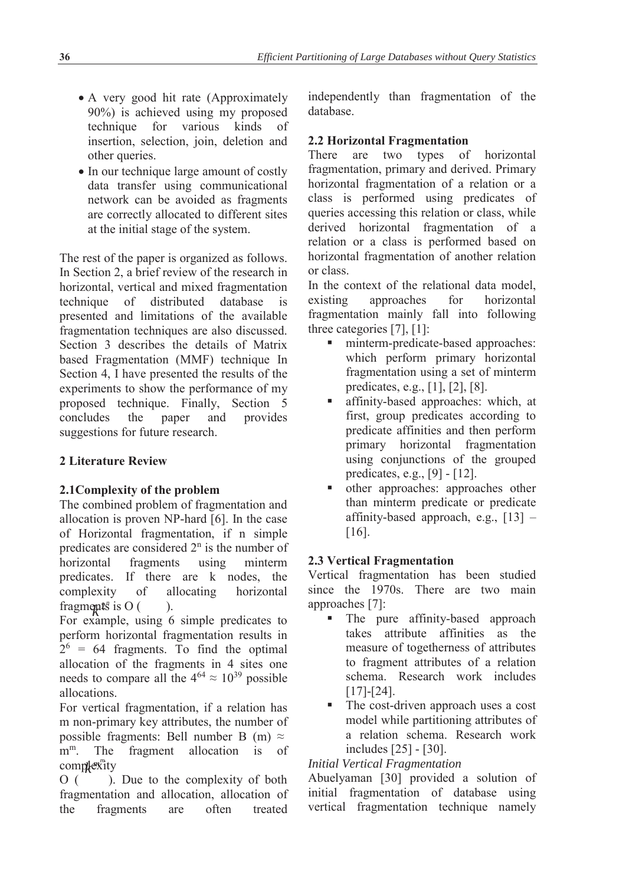- A very good hit rate (Approximately 90%) is achieved using my proposed technique for various kinds of insertion, selection, join, deletion and other queries.
- In our technique large amount of costly data transfer using communicational network can be avoided as fragments are correctly allocated to different sites at the initial stage of the system.

The rest of the paper is organized as follows. In Section 2, a brief review of the research in horizontal, vertical and mixed fragmentation technique of distributed database is presented and limitations of the available fragmentation techniques are also discussed. Section 3 describes the details of Matrix based Fragmentation (MMF) technique In Section 4, I have presented the results of the experiments to show the performance of my proposed technique. Finally, Section 5 concludes the paper and provides suggestions for future research.

# **2 Literature Review**

# **2.1Complexity of the problem**

The combined problem of fragmentation and allocation is proven NP-hard [6]. In the case of Horizontal fragmentation, if n simple predicates are considered  $2<sup>n</sup>$  is the number of horizontal fragments using minterm predicates. If there are k nodes, the complexity of allocating horizontal fragments is  $O($ ).

For example, using 6 simple predicates to perform horizontal fragmentation results in  $2^6$  = 64 fragments. To find the optimal allocation of the fragments in 4 sites one needs to compare all the  $4^{64} \approx 10^{39}$  possible allocations.

For vertical fragmentation, if a relation has m non-primary key attributes, the number of possible fragments: Bell number B (m)  $\approx$ m<sup>m</sup>. The fragment allocation is of  $\mathop{\text{complex}^m}$ ity

O ( ). Due to the complexity of both fragmentation and allocation, allocation of the fragments are often treated

independently than fragmentation of the database.

# **2.2 Horizontal Fragmentation**

There are two types of horizontal fragmentation, primary and derived. Primary horizontal fragmentation of a relation or a class is performed using predicates of queries accessing this relation or class, while derived horizontal fragmentation of a relation or a class is performed based on horizontal fragmentation of another relation or class.

In the context of the relational data model, existing approaches for horizontal fragmentation mainly fall into following three categories [7], [1]:

- minterm-predicate-based approaches: which perform primary horizontal fragmentation using a set of minterm predicates, e.g., [1], [2], [8].
- affinity-based approaches: which, at first, group predicates according to predicate affinities and then perform primary horizontal fragmentation using conjunctions of the grouped predicates, e.g., [9] - [12].
- other approaches: approaches other than minterm predicate or predicate affinity-based approach, e.g., [13] – [16].

# **2.3 Vertical Fragmentation**

Vertical fragmentation has been studied since the 1970s. There are two main approaches [7]:

- The pure affinity-based approach takes attribute affinities as the measure of togetherness of attributes to fragment attributes of a relation schema. Research work includes [17]-[24].
- The cost-driven approach uses a cost model while partitioning attributes of a relation schema. Research work includes [25] - [30].

# *Initial Vertical Fragmentation*

Abuelyaman [30] provided a solution of initial fragmentation of database using vertical fragmentation technique namely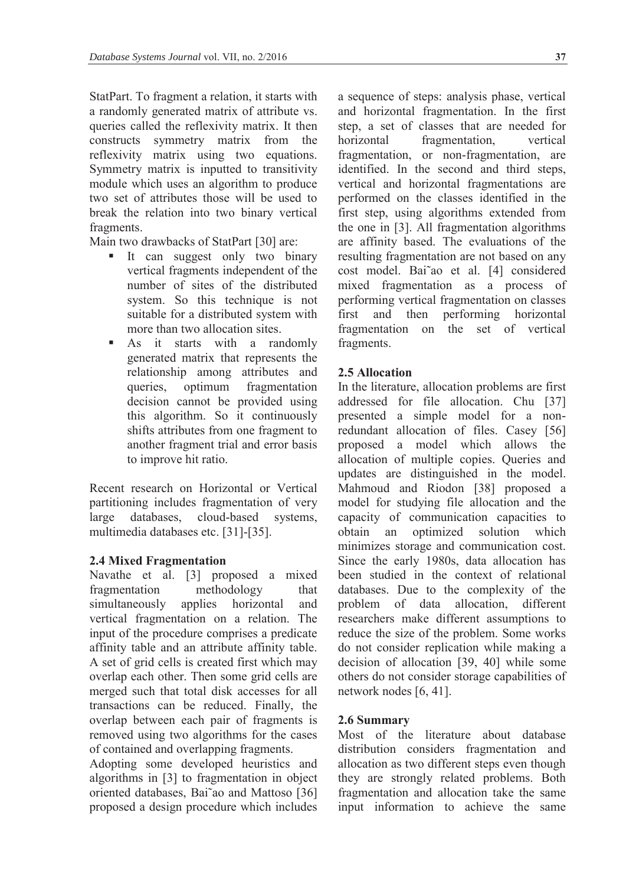StatPart. To fragment a relation, it starts with a randomly generated matrix of attribute vs. queries called the reflexivity matrix. It then constructs symmetry matrix from the reflexivity matrix using two equations. Symmetry matrix is inputted to transitivity module which uses an algorithm to produce two set of attributes those will be used to break the relation into two binary vertical fragments.

Main two drawbacks of StatPart [30] are:

- It can suggest only two binary vertical fragments independent of the number of sites of the distributed system. So this technique is not suitable for a distributed system with more than two allocation sites.
- As it starts with a randomly generated matrix that represents the relationship among attributes and queries, optimum fragmentation decision cannot be provided using this algorithm. So it continuously shifts attributes from one fragment to another fragment trial and error basis to improve hit ratio.

Recent research on Horizontal or Vertical partitioning includes fragmentation of very large databases, cloud-based systems, multimedia databases etc. [31]-[35].

## **2.4 Mixed Fragmentation**

Navathe et al. [3] proposed a mixed fragmentation methodology that simultaneously applies horizontal and vertical fragmentation on a relation. The input of the procedure comprises a predicate affinity table and an attribute affinity table. A set of grid cells is created first which may overlap each other. Then some grid cells are merged such that total disk accesses for all transactions can be reduced. Finally, the overlap between each pair of fragments is removed using two algorithms for the cases of contained and overlapping fragments.

Adopting some developed heuristics and algorithms in [3] to fragmentation in object oriented databases, Bai˜ao and Mattoso [36] proposed a design procedure which includes

a sequence of steps: analysis phase, vertical and horizontal fragmentation. In the first step, a set of classes that are needed for horizontal fragmentation, vertical fragmentation, or non-fragmentation, are identified. In the second and third steps, vertical and horizontal fragmentations are performed on the classes identified in the first step, using algorithms extended from the one in [3]. All fragmentation algorithms are affinity based. The evaluations of the resulting fragmentation are not based on any cost model. Bai˜ao et al. [4] considered mixed fragmentation as a process of performing vertical fragmentation on classes first and then performing horizontal fragmentation on the set of vertical fragments.

## **2.5 Allocation**

In the literature, allocation problems are first addressed for file allocation. Chu [37] presented a simple model for a nonredundant allocation of files. Casey [56] proposed a model which allows the allocation of multiple copies. Queries and updates are distinguished in the model. Mahmoud and Riodon [38] proposed a model for studying file allocation and the capacity of communication capacities to obtain an optimized solution which minimizes storage and communication cost. Since the early 1980s, data allocation has been studied in the context of relational databases. Due to the complexity of the problem of data allocation, different researchers make different assumptions to reduce the size of the problem. Some works do not consider replication while making a decision of allocation [39, 40] while some others do not consider storage capabilities of network nodes [6, 41].

## **2.6 Summary**

Most of the literature about database distribution considers fragmentation and allocation as two different steps even though they are strongly related problems. Both fragmentation and allocation take the same input information to achieve the same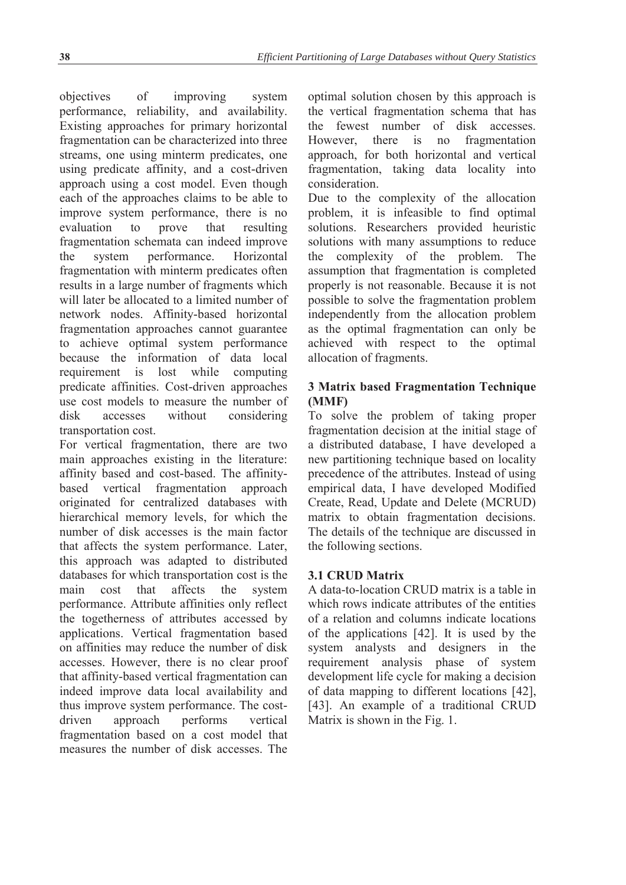objectives of improving system performance, reliability, and availability. Existing approaches for primary horizontal fragmentation can be characterized into three streams, one using minterm predicates, one using predicate affinity, and a cost-driven approach using a cost model. Even though each of the approaches claims to be able to improve system performance, there is no evaluation to prove that resulting fragmentation schemata can indeed improve the system performance. Horizontal fragmentation with minterm predicates often results in a large number of fragments which will later be allocated to a limited number of network nodes. Affinity-based horizontal fragmentation approaches cannot guarantee to achieve optimal system performance because the information of data local requirement is lost while computing predicate affinities. Cost-driven approaches use cost models to measure the number of disk accesses without considering transportation cost.

For vertical fragmentation, there are two main approaches existing in the literature: affinity based and cost-based. The affinitybased vertical fragmentation approach originated for centralized databases with hierarchical memory levels, for which the number of disk accesses is the main factor that affects the system performance. Later, this approach was adapted to distributed databases for which transportation cost is the main cost that affects the system performance. Attribute affinities only reflect the togetherness of attributes accessed by applications. Vertical fragmentation based on affinities may reduce the number of disk accesses. However, there is no clear proof that affinity-based vertical fragmentation can indeed improve data local availability and thus improve system performance. The costdriven approach performs vertical fragmentation based on a cost model that measures the number of disk accesses. The

optimal solution chosen by this approach is the vertical fragmentation schema that has the fewest number of disk accesses. However, there is no fragmentation approach, for both horizontal and vertical fragmentation, taking data locality into consideration.

Due to the complexity of the allocation problem, it is infeasible to find optimal solutions. Researchers provided heuristic solutions with many assumptions to reduce the complexity of the problem. The assumption that fragmentation is completed properly is not reasonable. Because it is not possible to solve the fragmentation problem independently from the allocation problem as the optimal fragmentation can only be achieved with respect to the optimal allocation of fragments.

# **3 Matrix based Fragmentation Technique (MMF)**

To solve the problem of taking proper fragmentation decision at the initial stage of a distributed database, I have developed a new partitioning technique based on locality precedence of the attributes. Instead of using empirical data, I have developed Modified Create, Read, Update and Delete (MCRUD) matrix to obtain fragmentation decisions. The details of the technique are discussed in the following sections.

# **3.1 CRUD Matrix**

A data-to-location CRUD matrix is a table in which rows indicate attributes of the entities of a relation and columns indicate locations of the applications [42]. It is used by the system analysts and designers in the requirement analysis phase of system development life cycle for making a decision of data mapping to different locations [42], [43]. An example of a traditional CRUD Matrix is shown in the Fig. 1.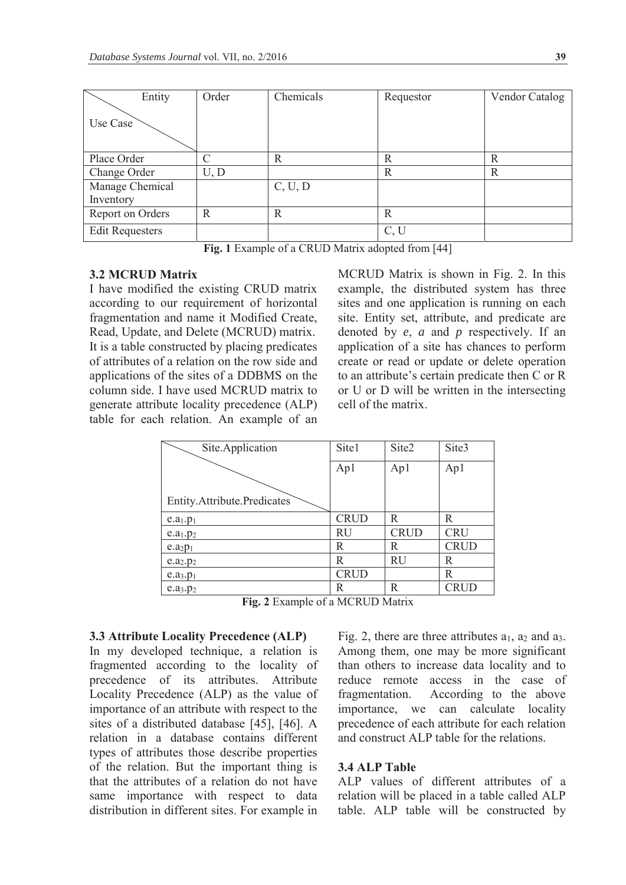| Entity                 | Order        | Chemicals | Requestor | Vendor Catalog |
|------------------------|--------------|-----------|-----------|----------------|
| Use Case               |              |           |           |                |
| Place Order            |              | R         | R         | R              |
| Change Order           | U, D         |           | R         | R              |
| Manage Chemical        |              | C, U, D   |           |                |
| Inventory              |              |           |           |                |
| Report on Orders       | $\mathbb{R}$ | R         | R         |                |
| <b>Edit Requesters</b> |              |           | C, U      |                |

**Fig. 1** Example of a CRUD Matrix adopted from [44]

### **3.2 MCRUD Matrix**

I have modified the existing CRUD matrix according to our requirement of horizontal fragmentation and name it Modified Create, Read, Update, and Delete (MCRUD) matrix. It is a table constructed by placing predicates of attributes of a relation on the row side and applications of the sites of a DDBMS on the column side. I have used MCRUD matrix to generate attribute locality precedence (ALP) table for each relation. An example of an

MCRUD Matrix is shown in Fig. 2. In this example, the distributed system has three sites and one application is running on each site. Entity set, attribute, and predicate are denoted by *e*, *a* and *p* respectively. If an application of a site has chances to perform create or read or update or delete operation to an attribute's certain predicate then C or R or U or D will be written in the intersecting cell of the matrix.

| Site.Application                   | Site1       | Site2       | Site3       |
|------------------------------------|-------------|-------------|-------------|
|                                    | Ap1         | Ap1         | Ap1         |
|                                    |             |             |             |
| <b>Entity.Attribute.Predicates</b> |             |             |             |
| e.a <sub>1</sub> .p <sub>1</sub>   | <b>CRUD</b> | R           | R           |
| e.a <sub>1</sub> .p <sub>2</sub>   | RU          | <b>CRUD</b> | <b>CRU</b>  |
| e.a <sub>2</sub> p <sub>1</sub>    | R           | R           | <b>CRUD</b> |
| e.a <sub>2</sub> .p <sub>2</sub>   | R           | <b>RU</b>   | R           |
| e.a <sub>3</sub> .p <sub>1</sub>   | <b>CRUD</b> |             | R           |
| e.a <sub>3</sub> .p <sub>2</sub>   | R           | R           | <b>CRUD</b> |

**Fig. 2** Example of a MCRUD Matrix

#### **3.3 Attribute Locality Precedence (ALP)**

In my developed technique, a relation is fragmented according to the locality of precedence of its attributes. Attribute Locality Precedence (ALP) as the value of importance of an attribute with respect to the sites of a distributed database [45], [46]. A relation in a database contains different types of attributes those describe properties of the relation. But the important thing is that the attributes of a relation do not have same importance with respect to data distribution in different sites. For example in

Fig. 2, there are three attributes  $a_1$ ,  $a_2$  and  $a_3$ . Among them, one may be more significant than others to increase data locality and to reduce remote access in the case of fragmentation. According to the above importance, we can calculate locality precedence of each attribute for each relation and construct ALP table for the relations.

#### **3.4 ALP Table**

ALP values of different attributes of a relation will be placed in a table called ALP table. ALP table will be constructed by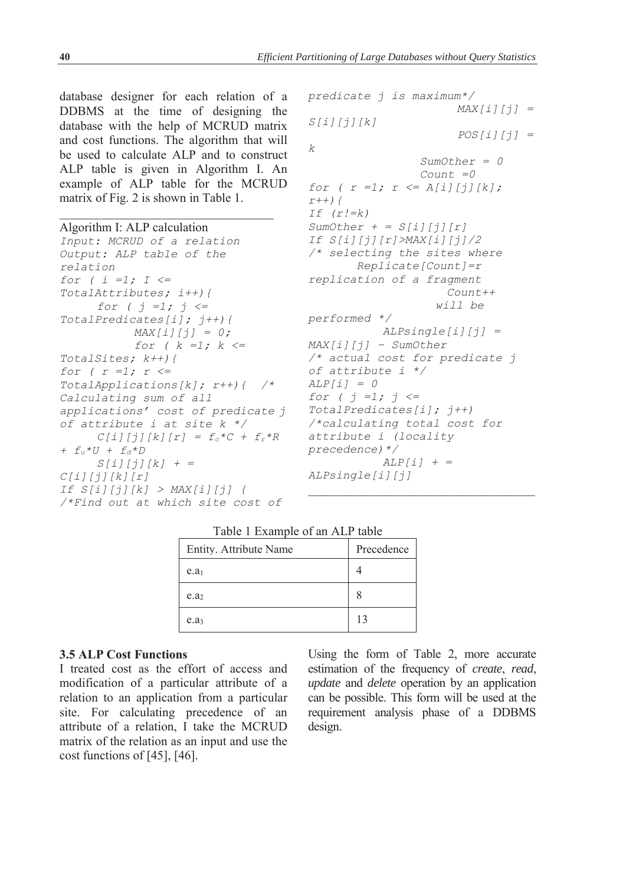database designer for each relation of a DDBMS at the time of designing the database with the help of MCRUD matrix and cost functions. The algorithm that will be used to calculate ALP and to construct ALP table is given in Algorithm I. An example of ALP table for the MCRUD matrix of Fig. 2 is shown in Table 1.

#### Algorithm I: ALP calculation

```
Input: MCRUD of a relation 
Output: ALP table of the 
relation 
for ( i =1; I <= 
TotalAttributes; i++){ 
      for ( j =1; j <= 
TotalPredicates[i]; j++){ 
           MAX[i][j] = 0; for ( k =1; k <= 
TotalSites; k++){ 
for ( r =1; r <= 
TotalApplications[k]; r++){ /* 
Calculating sum of all 
applications' cost of predicate j 
of attribute i at site k */ 
     C[i][j][k][r] = f_c * C + f_r * R+ fu*U + fd*D 
       S[i][j][k] + = 
C[i][j][k][r] 
If S[i][j][k] > MAX[i][j] { 
/*Find out at which site cost of
```

```
predicate j is maximum*/ 
                        MAX[i][j] = 
S[i][j][k] 
                         POS[i][j] = 
k 
                   SumOther = 0 
                   Count =0 
for ( r =1; r <= A[i][j][k];
r++){ 
If (r!=k) 
SumOther + = S[i][j][r]If S[i][j][r]>MAX[i][j]/2 
/* selecting the sites where 
         Replicate[Count]=r 
replication of a fragment 
                       Count++ 
                     will be 
performed */ 
             ALPsingle[i][j] = 
MAX[i][j] – SumOther 
/* actual cost for predicate j 
of attribute i */ 
ALP[i] = 0 
for ( j =1; j <= 
TotalPredicates[i]; j++) 
/*calculating total cost for 
attribute i (locality 
precedence)*/ 
            ALP[i] + = 
ALPsingle[i][j]
```
#### Table 1 Example of an ALP table

| Entity. Attribute Name | Precedence |
|------------------------|------------|
| e.a <sub>1</sub>       |            |
| e.a <sub>2</sub>       |            |
| e.a <sub>3</sub>       | 13         |

#### **3.5 ALP Cost Functions**

I treated cost as the effort of access and modification of a particular attribute of a relation to an application from a particular site. For calculating precedence of an attribute of a relation, I take the MCRUD matrix of the relation as an input and use the cost functions of [45], [46].

Using the form of Table 2, more accurate estimation of the frequency of *create*, *read*, *update* and *delete* operation by an application can be possible. This form will be used at the requirement analysis phase of a DDBMS design.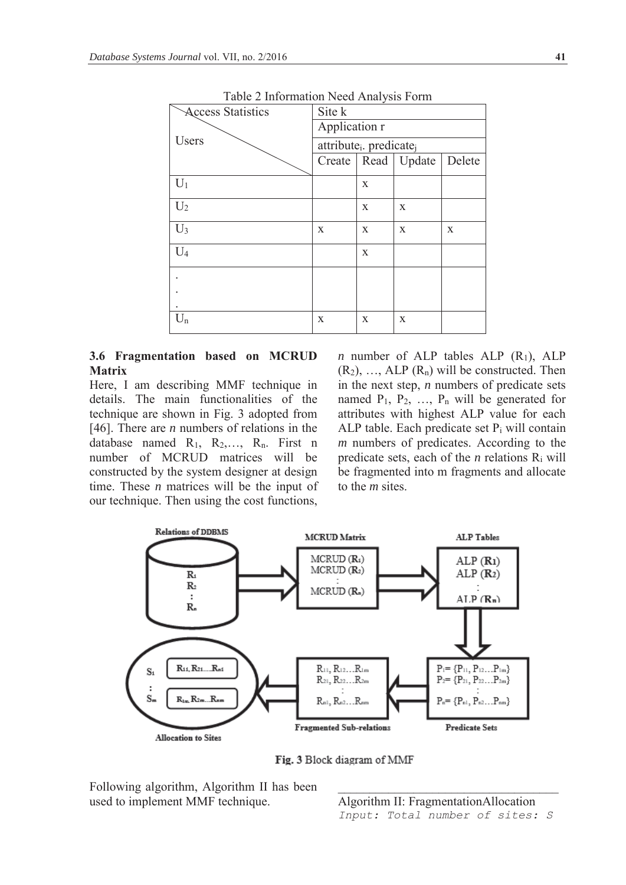| I able 2 Information inced Analysis Form |                                                 |   |                        |        |
|------------------------------------------|-------------------------------------------------|---|------------------------|--------|
| <b>Access Statistics</b>                 | Site k                                          |   |                        |        |
|                                          | Application r                                   |   |                        |        |
| Users                                    | attribute <sub>i</sub> . predicate <sub>j</sub> |   |                        |        |
|                                          |                                                 |   | Create   Read   Update | Delete |
| $U_1$                                    |                                                 | X |                        |        |
| $U_2$                                    |                                                 | X | X                      |        |
| $U_3$                                    | X                                               | X | X                      | X      |
| $U_4$                                    |                                                 | X |                        |        |
|                                          |                                                 |   |                        |        |
|                                          |                                                 |   |                        |        |
| $\rm U_n$                                | $\mathbf X$                                     | X | X                      |        |

Table 2 Information Need Analysis Form

## **3.6 Fragmentation based on MCRUD Matrix**

Here, I am describing MMF technique in details. The main functionalities of the technique are shown in Fig. 3 adopted from [46]. There are *n* numbers of relations in the database named  $R_1$ ,  $R_2$ ,...,  $R_n$ . First n number of MCRUD matrices will be constructed by the system designer at design time. These *n* matrices will be the input of our technique. Then using the cost functions,

*n* number of ALP tables ALP  $(R_1)$ , ALP  $(R_2)$ , …, ALP  $(R_n)$  will be constructed. Then in the next step, *n* numbers of predicate sets named  $P_1$ ,  $P_2$ , ...,  $P_n$  will be generated for attributes with highest ALP value for each ALP table. Each predicate set  $P_i$  will contain *m* numbers of predicates. According to the predicate sets, each of the *n* relations  $R_i$  will be fragmented into m fragments and allocate to the *m* sites.



Fig. 3 Block diagram of MMF

Following algorithm, Algorithm II has been used to implement MMF technique.

Algorithm II: FragmentationAllocation *Input: Total number of sites: S*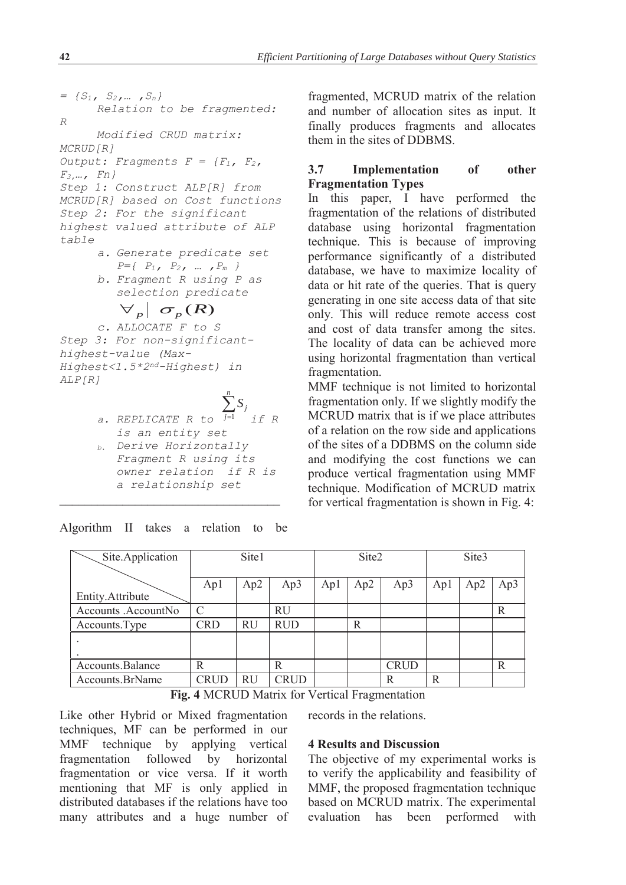```
\n= {S1, S2, ..., Sn}\n    Relation to be fragmented:\nR\n    Modified CRUD matrix:\nMCRUD[R]\nOutput: Fragments F = {F1, F2,\nF3, ..., Fn}\nStep 1: Construct ALP[R] from\nMCRUD[R] based on Cost functions\nStep 2: For the significant\nhighest valued attribute of ALP\ntable\n    a. Generate predicate set\n    P = { P1, P2, ..., Pm }\n    b. Fragment R using P as\n    selection predicate\n    
$$
\nabla_P | \nabla_P (R)
$$
\n    c. ALLOCATE F to S\nStep 3: For non-significant-\nhighest-value (Max-\nHighest<1.5*2nd-Highest) in\nALP[R]\n    s. REFILCATE R to\n    j=1 if R\n    is an entity set\n    b. Derive Horizontally\n
```

*Fragment R using its owner relation if R is a relationship set* 

Algorithm II takes a relation to be

fragmented, MCRUD matrix of the relation and number of allocation sites as input. It finally produces fragments and allocates them in the sites of DDBMS.

## **3.7 Implementation of other Fragmentation Types**

In this paper, I have performed the fragmentation of the relations of distributed database using horizontal fragmentation technique. This is because of improving performance significantly of a distributed database, we have to maximize locality of data or hit rate of the queries. That is query generating in one site access data of that site only. This will reduce remote access cost and cost of data transfer among the sites. The locality of data can be achieved more using horizontal fragmentation than vertical fragmentation.

MMF technique is not limited to horizontal fragmentation only. If we slightly modify the MCRUD matrix that is if we place attributes of a relation on the row side and applications of the sites of a DDBMS on the column side and modifying the cost functions we can produce vertical fragmentation using MMF technique. Modification of MCRUD matrix for vertical fragmentation is shown in Fig. 4:

| Site.Application    | Site1       |           |             |     | Site2 |             |     | Site3 |     |  |
|---------------------|-------------|-----------|-------------|-----|-------|-------------|-----|-------|-----|--|
|                     |             |           |             |     |       |             |     |       |     |  |
|                     | Ap1         | Ap2       | Ap3         | Apl | Ap2   | Ap3         | Apl | Ap2   | Ap3 |  |
| Entity.Attribute    |             |           |             |     |       |             |     |       |     |  |
| Accounts .AccountNo | C           |           | <b>RU</b>   |     |       |             |     |       | R   |  |
| Accounts. Type      | <b>CRD</b>  | <b>RU</b> | <b>RUD</b>  |     | R     |             |     |       |     |  |
|                     |             |           |             |     |       |             |     |       |     |  |
|                     |             |           |             |     |       |             |     |       |     |  |
| Accounts.Balance    | R           |           | R           |     |       | <b>CRUD</b> |     |       | R   |  |
| Accounts.BrName     | <b>CRUD</b> | RU        | <b>CRUD</b> |     |       | R           | R   |       |     |  |

**Fig. 4** MCRUD Matrix for Vertical Fragmentation

Like other Hybrid or Mixed fragmentation techniques, MF can be performed in our MMF technique by applying vertical fragmentation followed by horizontal fragmentation or vice versa. If it worth mentioning that MF is only applied in distributed databases if the relations have too many attributes and a huge number of records in the relations.

## **4 Results and Discussion**

The objective of my experimental works is to verify the applicability and feasibility of MMF, the proposed fragmentation technique based on MCRUD matrix. The experimental evaluation has been performed with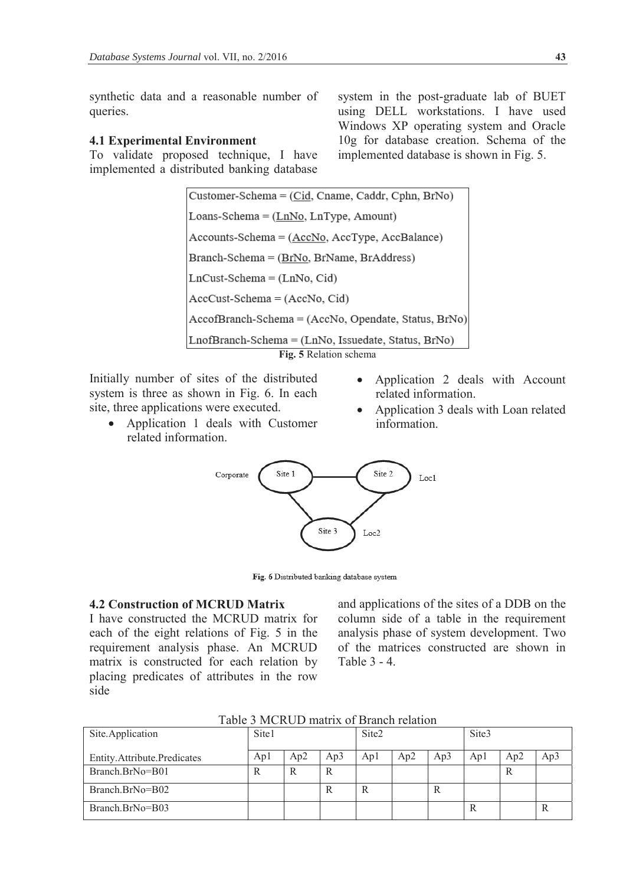synthetic data and a reasonable number of queries.

### **4.1 Experimental Environment**

To validate proposed technique, I have implemented a distributed banking database

system in the post-graduate lab of BUET using DELL workstations. I have used Windows XP operating system and Oracle 10g for database creation. Schema of the implemented database is shown in Fig. 5.

Customer-Schema = (Cid, Cname, Caddr, Cphn, BrNo) Loans-Schema =  $(LnNo, LnType, Amount)$ Accounts-Schema = (AccNo, AccType, AccBalance) Branch-Schema = (BrNo, BrName, BrAddress)  $LnCust-Schema = (LnNo, Cid)$  $AccCust-Schema = (AccNo, Cid)$ AccofBranch-Schema = (AccNo, Opendate, Status, BrNo) LnofBranch-Schema = (LnNo, Issuedate, Status, BrNo) **Fig. 5** Relation schema

Initially number of sites of the distributed system is three as shown in Fig. 6. In each site, three applications were executed.

- Application 1 deals with Customer related information.
- Application 2 deals with Account related information.
- Application 3 deals with Loan related information.



Fig. 6 Distributed banking database system

## **4.2 Construction of MCRUD Matrix**

I have constructed the MCRUD matrix for each of the eight relations of Fig. 5 in the requirement analysis phase. An MCRUD matrix is constructed for each relation by placing predicates of attributes in the row side

and applications of the sites of a DDB on the column side of a table in the requirement analysis phase of system development. Two of the matrices constructed are shown in Table 3 - 4.

|  | Table 3 MCRUD matrix of Branch relation |
|--|-----------------------------------------|
|--|-----------------------------------------|

| Site.Application            | Site1 |     |     | Site <sub>2</sub> |     |     | Site3 |     |     |
|-----------------------------|-------|-----|-----|-------------------|-----|-----|-------|-----|-----|
| Entity.Attribute.Predicates | Apl   | Ap2 | Ap3 | Apl               | Ap2 | Ap3 | Apl   | Ap2 | Ap3 |
| Branch.BrNo=B01             | R     | R   | R   |                   |     |     |       | ĸ   |     |
| Branch.BrNo=B02             |       |     | R   |                   |     | R   |       |     |     |
| Branch.BrNo=B03             |       |     |     |                   |     |     | R     |     |     |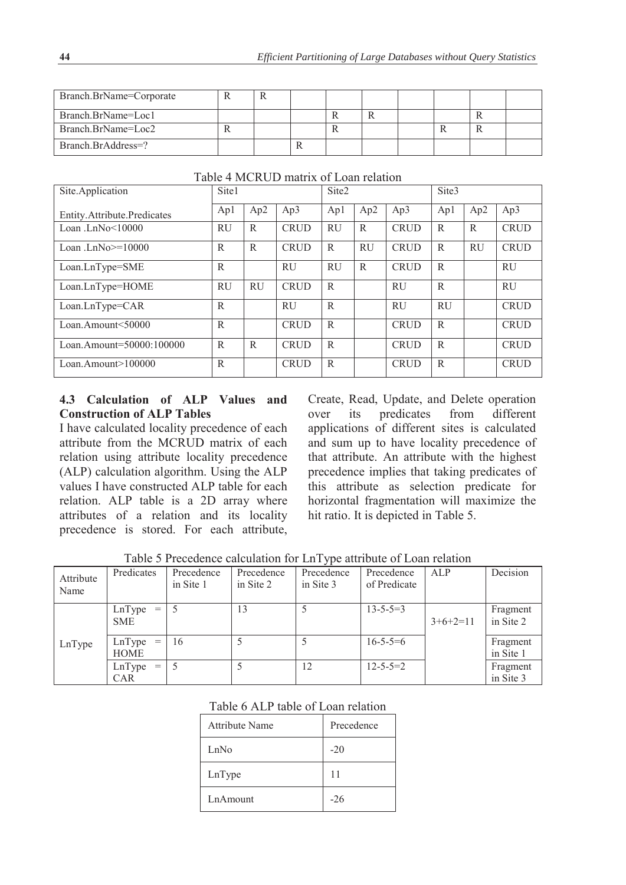| Branch.BrName=Corporate |  |  |  |  |  |
|-------------------------|--|--|--|--|--|
| Branch.BrName=Loc1      |  |  |  |  |  |
| Branch.BrName=Loc2      |  |  |  |  |  |
| Branch.BrAddress=?      |  |  |  |  |  |

| Site.Application              | Site1        |              | Site <sub>2</sub> |           |           | Site <sub>3</sub> |           |           |             |
|-------------------------------|--------------|--------------|-------------------|-----------|-----------|-------------------|-----------|-----------|-------------|
| Entity. Attribute. Predicates | Apl          | Ap2          | Ap3               | Ap1       | Ap2       | Ap3               | Ap1       | Ap2       | Ap3         |
| Loan .LnNo $<$ 10000          | <b>RU</b>    | R            | <b>CRUD</b>       | <b>RU</b> | R         | <b>CRUD</b>       | R         | R         | <b>CRUD</b> |
| Loan .Ln $No>=10000$          | R            | $\mathbb{R}$ | <b>CRUD</b>       | R         | <b>RU</b> | <b>CRUD</b>       | R         | <b>RU</b> | <b>CRUD</b> |
| Loan.LnType=SME               | R            |              | <b>RU</b>         | <b>RU</b> | R         | <b>CRUD</b>       | R         |           | <b>RU</b>   |
| Loan.LnType=HOME              | <b>RU</b>    | RU           | <b>CRUD</b>       | R         |           | <b>RU</b>         | R         |           | <b>RU</b>   |
| Loan.LnType=CAR               | $\mathbb{R}$ |              | RU                | R         |           | <b>RU</b>         | <b>RU</b> |           | <b>CRUD</b> |
| Loan.Amount< $50000$          | $\mathbb{R}$ |              | <b>CRUD</b>       | R         |           | <b>CRUD</b>       | R         |           | <b>CRUD</b> |
| Loan.Amount=50000:100000      | R            | R            | <b>CRUD</b>       | R         |           | <b>CRUD</b>       | R         |           | <b>CRUD</b> |
| $Loan.Amoun \geq 100000$      | $\mathbb{R}$ |              | <b>CRUD</b>       | R         |           | <b>CRUD</b>       | R         |           | <b>CRUD</b> |

## Table 4 MCRUD matrix of Loan relation

## **4.3 Calculation of ALP Values and Construction of ALP Tables**

I have calculated locality precedence of each attribute from the MCRUD matrix of each relation using attribute locality precedence (ALP) calculation algorithm. Using the ALP values I have constructed ALP table for each relation. ALP table is a 2D array where attributes of a relation and its locality precedence is stored. For each attribute,

Create, Read, Update, and Delete operation over its predicates from different applications of different sites is calculated and sum up to have locality precedence of that attribute. An attribute with the highest precedence implies that taking predicates of this attribute as selection predicate for horizontal fragmentation will maximize the hit ratio. It is depicted in Table 5.

|                   |                             |                         |                         | $\sim$ 1                |                            |            |                       |
|-------------------|-----------------------------|-------------------------|-------------------------|-------------------------|----------------------------|------------|-----------------------|
| Attribute<br>Name | Predicates                  | Precedence<br>in Site 1 | Precedence<br>in Site 2 | Precedence<br>in Site 3 | Precedence<br>of Predicate | ALP        | Decision              |
|                   | LnType<br>$=$<br><b>SME</b> |                         | 13                      |                         | $13 - 5 - 5 = 3$           | $3+6+2=11$ | Fragment<br>in Site 2 |
| LnType            | $LnType =$<br><b>HOME</b>   | 16                      |                         | 5                       | $16 - 5 - 5 = 6$           |            | Fragment<br>in Site 1 |
|                   | LnType<br>$=$<br><b>CAR</b> | 5                       |                         | 12                      | $12 - 5 - 5 = 2$           |            | Fragment<br>in Site 3 |

Table 5 Precedence calculation for LnType attribute of Loan relation

## Table 6 ALP table of Loan relation

| Attribute Name  | Precedence |
|-----------------|------------|
| LnNo            | $-20$      |
| LnType          | 11         |
| <b>LnAmount</b> | $-26$      |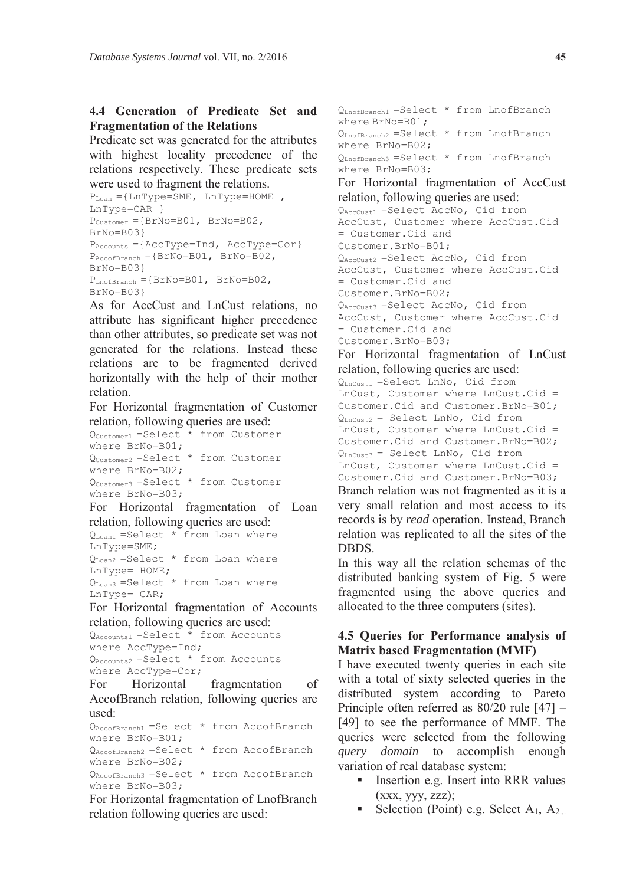## **4.4 Generation of Predicate Set and Fragmentation of the Relations**

Predicate set was generated for the attributes with highest locality precedence of the relations respectively. These predicate sets were used to fragment the relations.

```
P_{\text{Loan}} ={LnType=SME, LnType=HOME,
LnType=CAR } 
P_{\text{Customer}} = \{ \text{BrNo} = 801, \text{ BrNo} = 802, \text{ }BrNo=B03} 
P_{\text{Accounts}} = \{ \text{AccType} = \text{Ind}, \text{AccType} = \text{Cor} \}P_{\text{AccoffBranch}} = \{BrNo = B01, BrNo = B02,BrNo=B03} 
P_{\text{LnoffBranch}} = \{BrNo = B01, BrNo = B02,BrNo=B03}
```
As for AccCust and LnCust relations, no attribute has significant higher precedence than other attributes, so predicate set was not generated for the relations. Instead these relations are to be fragmented derived horizontally with the help of their mother relation.

For Horizontal fragmentation of Customer relation, following queries are used:

 $Q<sub>Customerr1</sub> = Select * from Customer$ where BrNo=B01; QCustomer2 =Select \* from Customer where BrNo=B02; QCustomer3 =Select \* from Customer where BrNo=B03;

For Horizontal fragmentation of Loan relation, following queries are used:

 $Q_{\text{Loan1}}$  =Select  $*$  from Loan where LnType=SME; QLoan2 =Select \* from Loan where LnType= HOME;  $Q_{\text{Loan3}} = \text{Select}$  \* from Loan where LnType= CAR;

For Horizontal fragmentation of Accounts relation, following queries are used:

```
QAccounts1 =Select * from Accounts 
where AccType=Ind; 
QAccounts2 =Select * from Accounts 
where AccType=Cor;
```
For Horizontal fragmentation of AccofBranch relation, following queries are used:

QAccofBranch1 =Select \* from AccofBranch where BrNo=B01;

QAccofBranch2 =Select \* from AccofBranch where BrNo=B02;

QAccofBranch3 =Select \* from AccofBranch where BrNo=B03;

For Horizontal fragmentation of LnofBranch relation following queries are used:

QLnofBranch1 =Select \* from LnofBranch where BrNo=B01; QLnofBranch2 =Select \* from LnofBranch where BrNo=B02; QLnofBranch3 =Select \* from LnofBranch where BrNo=B03; For Horizontal fragmentation of AccCust relation, following queries are used: QAccCust1 =Select AccNo, Cid from AccCust, Customer where AccCust.Cid = Customer.Cid and Customer.BrNo=B01; QAccCust2 =Select AccNo, Cid from AccCust, Customer where AccCust.Cid = Customer.Cid and Customer.BrNo=B02; QAccCust3 =Select AccNo, Cid from AccCust, Customer where AccCust.Cid = Customer.Cid and Customer.BrNo=B03; For Horizontal fragmentation of LnCust relation, following queries are used: QLnCust1 =Select LnNo, Cid from LnCust, Customer where LnCust.Cid = Customer.Cid and Customer.BrNo=B01;  $Q_{LnCust2}$  = Select LnNo, Cid from LnCust, Customer where LnCust.Cid = Customer.Cid and Customer.BrNo=B02; QLnCust3 = Select LnNo, Cid from LnCust, Customer where LnCust.Cid = Customer.Cid and Customer.BrNo=B03; Branch relation was not fragmented as it is a very small relation and most access to its records is by *read* operation. Instead, Branch relation was replicated to all the sites of the DBDS.

In this way all the relation schemas of the distributed banking system of Fig. 5 were fragmented using the above queries and allocated to the three computers (sites).

## **4.5 Queries for Performance analysis of Matrix based Fragmentation (MMF)**

I have executed twenty queries in each site with a total of sixty selected queries in the distributed system according to Pareto Principle often referred as 80/20 rule [47] – [49] to see the performance of MMF. The queries were selected from the following *query domain* to accomplish enough variation of real database system:

- Insertion e.g. Insert into RRR values  $(xxx, yyy, zzz);$
- Selection (Point) e.g. Select A<sub>1</sub>, A<sub>2...</sub>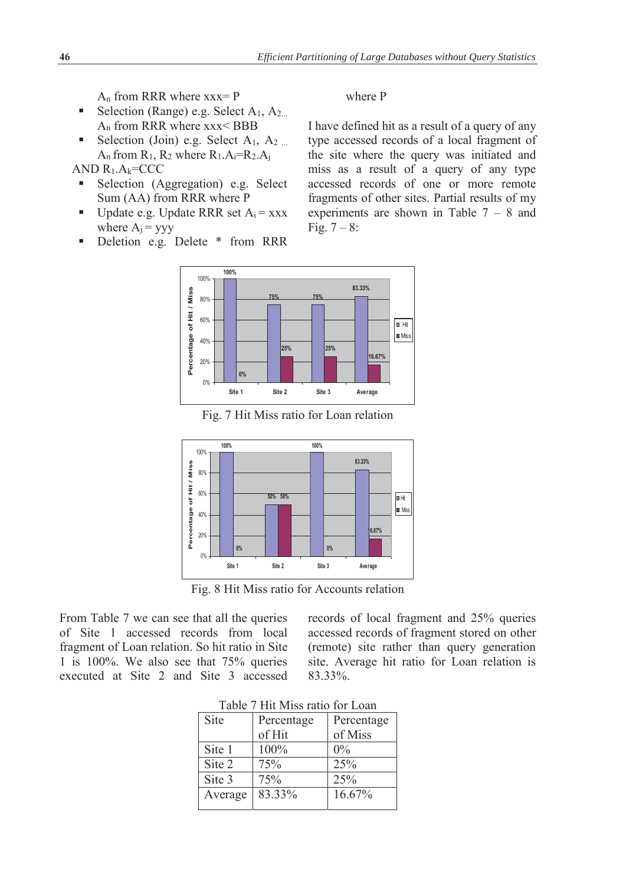$A_n$  from RRR where  $xxx = P$ 

- Selection (Range) e.g. Select  $A_1$ ,  $A_2$ .... An from RRR where xxx< BBB
- Selection (Join) e.g. Select  $A_1$ ,  $A_2$ ...  $A_n$  from  $R_1$ ,  $R_2$  where  $R_1.A_i=R_2.A_i$

AND  $R_1.A_k=CCC$ 

- Selection (Aggregation) e.g. Select Sum (AA) from RRR where P
- Update e.g. Update RRR set  $A_i = XXX$ where  $A_i = yyy$
- **Deletion e.g. Delete \* from RRR**

where P

I have defined hit as a result of a query of any type accessed records of a local fragment of the site where the query was initiated and miss as a result of a query of any type accessed records of one or more remote fragments of other sites. Partial results of my experiments are shown in Table 7 – 8 and Fig.  $7 - 8$ :



Fig. 7 Hit Miss ratio for Loan relation



Fig. 8 Hit Miss ratio for Accounts relation

From Table 7 we can see that all the queries of Site 1 accessed records from local fragment of Loan relation. So hit ratio in Site 1 is 100%. We also see that 75% queries executed at Site 2 and Site 3 accessed records of local fragment and 25% queries accessed records of fragment stored on other (remote) site rather than query generation site. Average hit ratio for Loan relation is 83.33%.

| Table / Fill Milss fatio for Loan |            |            |  |  |  |  |  |
|-----------------------------------|------------|------------|--|--|--|--|--|
| Site                              | Percentage | Percentage |  |  |  |  |  |
|                                   | of Hit     | of Miss    |  |  |  |  |  |
| Site 1                            | 100%       | $0\%$      |  |  |  |  |  |
| Site 2                            | 75%        | 25%        |  |  |  |  |  |
| Site 3                            | 75%        | 25%        |  |  |  |  |  |
| Average                           | 83.33%     | 16.67%     |  |  |  |  |  |

 $H<sub>it</sub>$  Miss ratio for Loan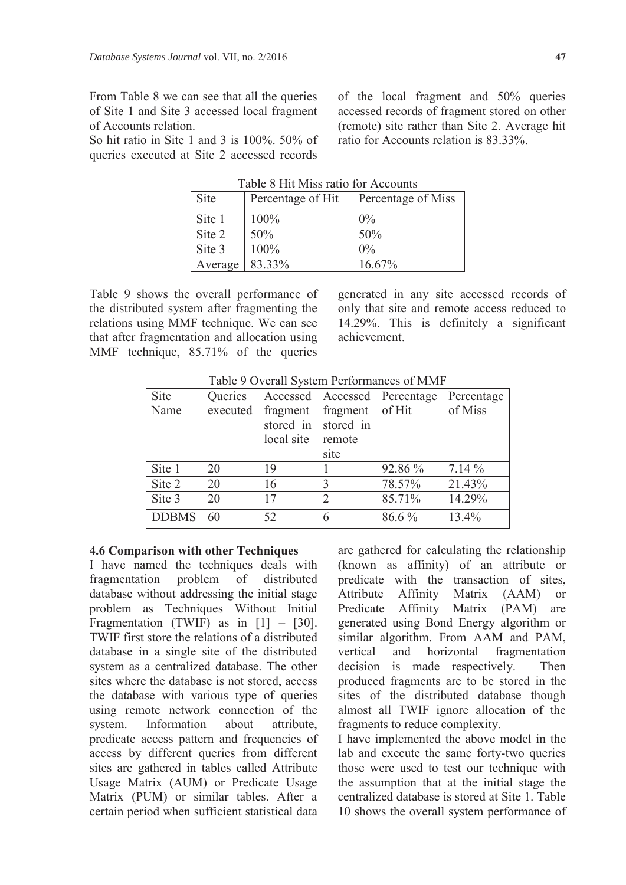From Table 8 we can see that all the queries of Site 1 and Site 3 accessed local fragment of Accounts relation.

So hit ratio in Site 1 and 3 is 100%. 50% of queries executed at Site 2 accessed records

of the local fragment and 50% queries accessed records of fragment stored on other (remote) site rather than Site 2. Average hit ratio for Accounts relation is 83.33%.

| Site    | Percentage of Hit | Percentage of Miss |
|---------|-------------------|--------------------|
| Site 1  | 100%              | $0\%$              |
| Site 2  | 50%               | 50%                |
| Site 3  | 100%              | $0\%$              |
| Average | 83.33%            | 16.67%             |

Table 8 Hit Miss ratio for Accounts

Table 9 shows the overall performance of the distributed system after fragmenting the relations using MMF technique. We can see that after fragmentation and allocation using MMF technique, 85.71% of the queries

generated in any site accessed records of only that site and remote access reduced to 14.29%. This is definitely a significant achievement.

| Site         | Queries  |            |                     | Accessed   Accessed   Percentage | Percentage |
|--------------|----------|------------|---------------------|----------------------------------|------------|
| Name         | executed | fragment   | fragment            | of Hit                           | of Miss    |
|              |          |            | stored in stored in |                                  |            |
|              |          | local site | remote              |                                  |            |
|              |          |            | site                |                                  |            |
| Site 1       | 20       | 19         |                     | 92.86 %                          | $7.14\%$   |
| Site 2       | 20       | 16         | 3                   | 78.57%                           | 21.43%     |
| Site 3       | 20       | 17         | $\mathfrak{D}$      | 85.71%                           | 14.29%     |
| <b>DDBMS</b> | 60       | 52         | 6                   | 86.6 %                           | 13.4%      |

Table 9 Overall System Performances of MMF

#### **4.6 Comparison with other Techniques**

I have named the techniques deals with fragmentation problem of distributed database without addressing the initial stage problem as Techniques Without Initial Fragmentation (TWIF) as in  $[1]$  –  $[30]$ . TWIF first store the relations of a distributed database in a single site of the distributed system as a centralized database. The other sites where the database is not stored, access the database with various type of queries using remote network connection of the system. Information about attribute, predicate access pattern and frequencies of access by different queries from different sites are gathered in tables called Attribute Usage Matrix (AUM) or Predicate Usage Matrix (PUM) or similar tables. After a certain period when sufficient statistical data

are gathered for calculating the relationship (known as affinity) of an attribute or predicate with the transaction of sites, Attribute Affinity Matrix (AAM) or Predicate Affinity Matrix (PAM) are generated using Bond Energy algorithm or similar algorithm. From AAM and PAM, vertical and horizontal fragmentation decision is made respectively. Then produced fragments are to be stored in the sites of the distributed database though almost all TWIF ignore allocation of the fragments to reduce complexity.

I have implemented the above model in the lab and execute the same forty-two queries those were used to test our technique with the assumption that at the initial stage the centralized database is stored at Site 1. Table 10 shows the overall system performance of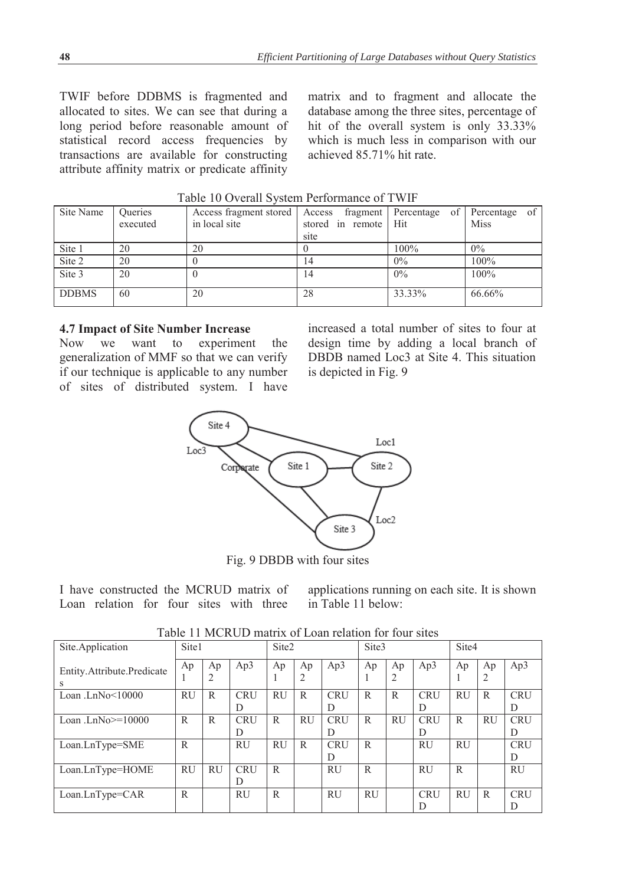TWIF before DDBMS is fragmented and allocated to sites. We can see that during a long period before reasonable amount of statistical record access frequencies by transactions are available for constructing attribute affinity matrix or predicate affinity

matrix and to fragment and allocate the database among the three sites, percentage of hit of the overall system is only 33.33% which is much less in comparison with our achieved 85.71% hit rate.

| Site Name    | Queries  | Access fragment stored   Access fragment   Percentage of   Percentage of |                      |        |             |
|--------------|----------|--------------------------------------------------------------------------|----------------------|--------|-------------|
|              | executed | in local site                                                            | stored in remote Hit |        | <b>Miss</b> |
|              |          |                                                                          | site                 |        |             |
| Site 1       | 20       | 20                                                                       |                      | 100%   | $0\%$       |
| Site 2       | 20       |                                                                          | 14                   | $0\%$  | 100%        |
| Site 3       | 20       |                                                                          | 14                   | $0\%$  | 100%        |
| <b>DDBMS</b> | 60       | 20                                                                       | 28                   | 33.33% | 66.66%      |

Table 10 Overall System Performance of TWIF

### **4.7 Impact of Site Number Increase**

Now we want to experiment the generalization of MMF so that we can verify if our technique is applicable to any number of sites of distributed system. I have

increased a total number of sites to four at design time by adding a local branch of DBDB named Loc3 at Site 4. This situation is depicted in Fig. 9



Fig. 9 DBDB with four sites

I have constructed the MCRUD matrix of Loan relation for four sites with three applications running on each site. It is shown in Table 11 below:

| Taoic 11 Inched matrix of Loan Rhanon for four shes |           |           |                 |           |           |                 |           |           |                 |              |              |                 |
|-----------------------------------------------------|-----------|-----------|-----------------|-----------|-----------|-----------------|-----------|-----------|-----------------|--------------|--------------|-----------------|
| Site.Application                                    | Site1     |           | Site2           |           | Site3     |                 |           | Site4     |                 |              |              |                 |
| Entity.Attribute.Predicate<br>S                     | Ap        | Ap<br>2   | Ap3             | Ap        | Ap<br>2   | Ap3             | Ap        | Ap<br>2   | Ap3             | Ap           | Ap<br>2      | Ap3             |
| Loan .Ln $No < 10000$                               | RU        | R         | <b>CRU</b><br>D | RU        | R         | <b>CRU</b><br>D | R.        | R         | <b>CRU</b><br>D | RU           | R            | <b>CRU</b><br>D |
| Loan .Ln $No>=10000$                                | R         | R         | <b>CRU</b><br>D | R         | <b>RU</b> | <b>CRU</b><br>D | R         | <b>RU</b> | <b>CRU</b><br>D | R            | <b>RU</b>    | <b>CRU</b><br>D |
| Loan.LnType=SME                                     | R         |           | <b>RU</b>       | <b>RU</b> | R         | <b>CRU</b><br>D | R         |           | <b>RU</b>       | <b>RU</b>    |              | <b>CRU</b><br>D |
| Loan.LnType=HOME                                    | <b>RU</b> | <b>RU</b> | <b>CRU</b><br>D | R         |           | <b>RU</b>       | R         |           | <b>RU</b>       | $\mathbb{R}$ |              | <b>RU</b>       |
| $Loan.LnType=CAR$                                   | R         |           | <b>RU</b>       | R         |           | <b>RU</b>       | <b>RU</b> |           | <b>CRU</b><br>D | RU           | $\mathsf{R}$ | <b>CRU</b><br>D |

Table 11 MCRUD matrix of Loan relation for four sites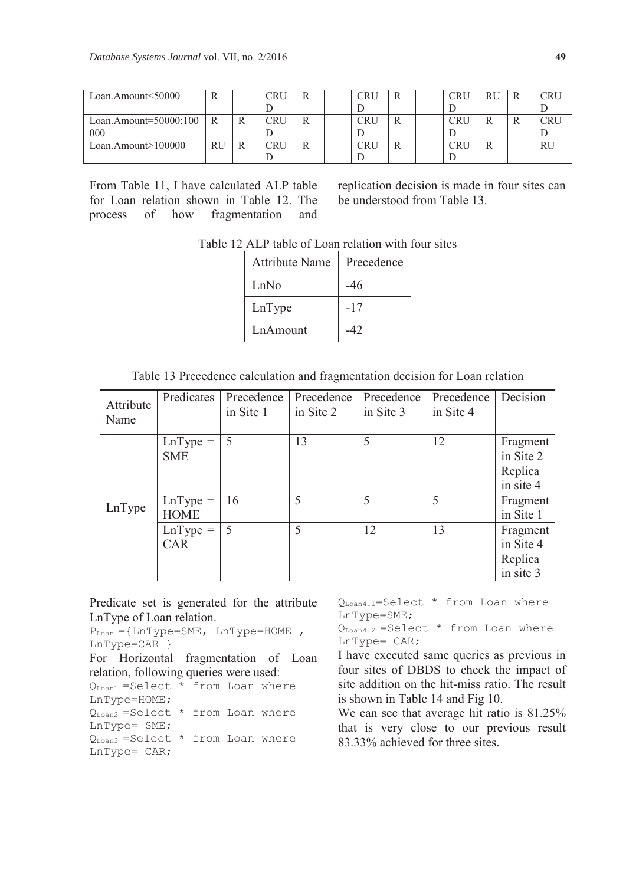| Loan.Amount<50000     |    | CRU        |  | CRU        |  | CRU | RU | R |    |
|-----------------------|----|------------|--|------------|--|-----|----|---|----|
|                       |    |            |  |            |  |     |    |   |    |
| Loan.Amount=50000:100 | R  | <b>CRU</b> |  | CRU        |  | CRU | R  |   |    |
| 000                   |    |            |  |            |  |     |    |   |    |
| Loan.Amount>100000    | RU | <b>CRU</b> |  | <b>CRU</b> |  | CRU |    |   | RU |
|                       |    |            |  |            |  |     |    |   |    |

From Table 11, I have calculated ALP table for Loan relation shown in Table 12. The process of how fragmentation and

replication decision is made in four sites can be understood from Table 13.

Table 12 ALP table of Loan relation with four sites

| <b>Attribute Name</b> | Precedence |
|-----------------------|------------|
| LnNo                  | -46        |
| LnType                | -17        |
| LnAmount              | 42         |

Table 13 Precedence calculation and fragmentation decision for Loan relation

| Attribute<br>Name | Predicates                   | Precedence<br>in Site 1 | Precedence<br>in Site 2 | Precedence<br>in Site 3 | Precedence<br>in Site 4 | Decision                                      |
|-------------------|------------------------------|-------------------------|-------------------------|-------------------------|-------------------------|-----------------------------------------------|
|                   | LnType $=$   5<br><b>SME</b> |                         | 13                      | 5                       | 12                      | Fragment<br>in Site 2<br>Replica<br>in site 4 |
| LnType            | $LnType =$<br><b>HOME</b>    | 16                      | 5                       | 5                       | 5                       | Fragment<br>in Site 1                         |
|                   | $LnType =$<br><b>CAR</b>     | -5                      | 5                       | 12                      | 13                      | Fragment<br>in Site 4<br>Replica<br>in site 3 |

Predicate set is generated for the attribute LnType of Loan relation.

```
P_{\text{Loan}} ={LnType=SME, LnType=HOME,
LnType=CAR } 
For Horizontal fragmentation of Loan 
relation, following queries were used: 
Q_{\text{Ioan1}} =Select * from Loan where
LnType=HOME; 
Q_{\text{Loan2}} = \text{Select} * from Loan where
LnType= SME;
```
 $Q_{\text{Loan3}}$  =Select  $*$  from Loan where LnType= CAR;

QLoan4.1=Select \* from Loan where LnType=SME;

 $Q_{\text{Loan4.2}} = \text{Select}$  \* from Loan where LnType= CAR;

I have executed same queries as previous in four sites of DBDS to check the impact of site addition on the hit-miss ratio. The result is shown in Table 14 and Fig 10.

We can see that average hit ratio is 81.25% that is very close to our previous result 83.33% achieved for three sites.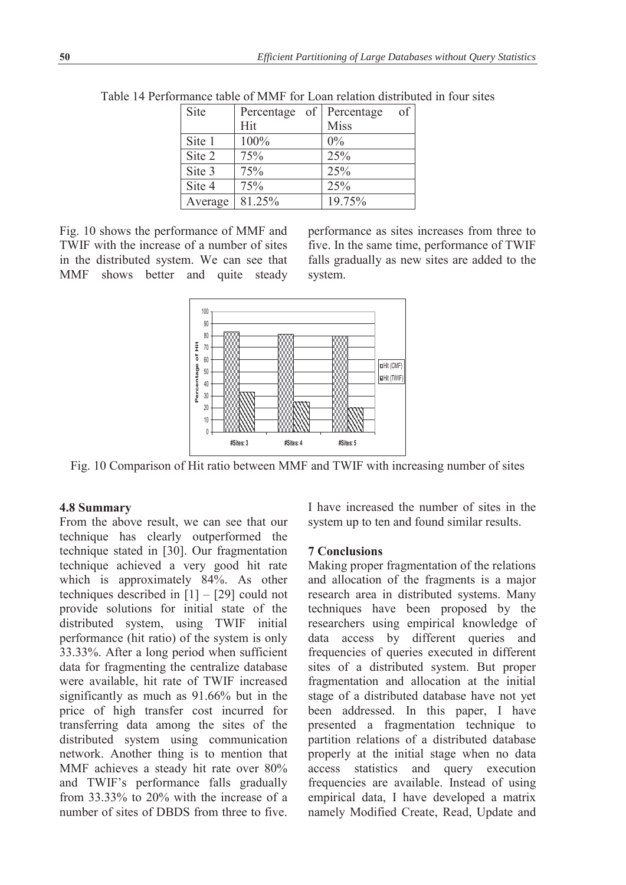| Site    | Percentage of Percentage | of          |
|---------|--------------------------|-------------|
|         | Hit                      | <b>Miss</b> |
| Site 1  | 100%                     | $0\%$       |
| Site 2  | 75%                      | 25%         |
| Site 3  | 75%                      | 25%         |
| Site 4  | 75%                      | 25%         |
| Average | 81.25%                   | 19.75%      |

Table 14 Performance table of MMF for Loan relation distributed in four sites

Fig. 10 shows the performance of MMF and TWIF with the increase of a number of sites in the distributed system. We can see that MMF shows better and quite steady performance as sites increases from three to five. In the same time, performance of TWIF falls gradually as new sites are added to the system.



Fig. 10 Comparison of Hit ratio between MMF and TWIF with increasing number of sites

## **4.8 Summary**

From the above result, we can see that our technique has clearly outperformed the technique stated in [30]. Our fragmentation technique achieved a very good hit rate which is approximately 84%. As other techniques described in [1] – [29] could not provide solutions for initial state of the distributed system, using TWIF initial performance (hit ratio) of the system is only 33.33%. After a long period when sufficient data for fragmenting the centralize database were available, hit rate of TWIF increased significantly as much as 91.66% but in the price of high transfer cost incurred for transferring data among the sites of the distributed system using communication network. Another thing is to mention that MMF achieves a steady hit rate over 80% and TWIF's performance falls gradually from 33.33% to 20% with the increase of a number of sites of DBDS from three to five.

I have increased the number of sites in the system up to ten and found similar results.

## **7 Conclusions**

Making proper fragmentation of the relations and allocation of the fragments is a major research area in distributed systems. Many techniques have been proposed by the researchers using empirical knowledge of data access by different queries and frequencies of queries executed in different sites of a distributed system. But proper fragmentation and allocation at the initial stage of a distributed database have not yet been addressed. In this paper, I have presented a fragmentation technique to partition relations of a distributed database properly at the initial stage when no data access statistics and query execution frequencies are available. Instead of using empirical data, I have developed a matrix namely Modified Create, Read, Update and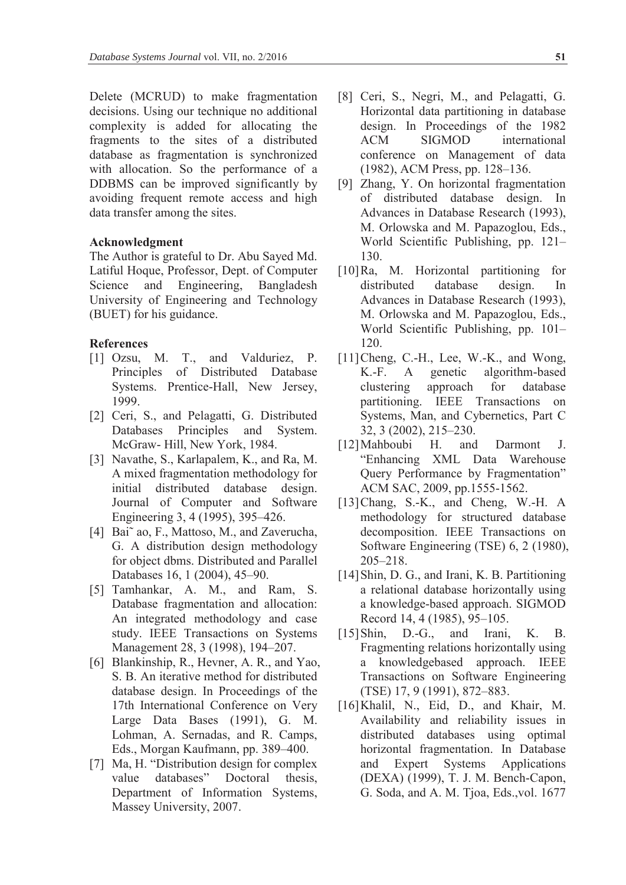Delete (MCRUD) to make fragmentation decisions. Using our technique no additional complexity is added for allocating the fragments to the sites of a distributed database as fragmentation is synchronized with allocation. So the performance of a DDBMS can be improved significantly by avoiding frequent remote access and high data transfer among the sites.

### **Acknowledgment**

The Author is grateful to Dr. Abu Sayed Md. Latiful Hoque, Professor, Dept. of Computer Science and Engineering, Bangladesh University of Engineering and Technology (BUET) for his guidance.

## **References**

- [1] Ozsu, M. T., and Valduriez, P. Principles of Distributed Database Systems. Prentice-Hall, New Jersey, 1999.
- [2] Ceri, S., and Pelagatti, G. Distributed Databases Principles and System. McGraw- Hill, New York, 1984.
- [3] Navathe, S., Karlapalem, K., and Ra, M. A mixed fragmentation methodology for initial distributed database design. Journal of Computer and Software Engineering 3, 4 (1995), 395–426.
- [4] Bai<sup> $\tilde{a}$ </sup> ao, F., Mattoso, M., and Zaverucha, G. A distribution design methodology for object dbms. Distributed and Parallel Databases 16, 1 (2004), 45–90.
- [5] Tamhankar, A. M., and Ram, S. Database fragmentation and allocation: An integrated methodology and case study. IEEE Transactions on Systems Management 28, 3 (1998), 194–207.
- [6] Blankinship, R., Hevner, A. R., and Yao, S. B. An iterative method for distributed database design. In Proceedings of the 17th International Conference on Very Large Data Bases (1991), G. M. Lohman, A. Sernadas, and R. Camps, Eds., Morgan Kaufmann, pp. 389–400.
- [7] Ma, H. "Distribution design for complex value databases" Doctoral thesis, Department of Information Systems, Massey University, 2007.
- [8] Ceri, S., Negri, M., and Pelagatti, G. Horizontal data partitioning in database design. In Proceedings of the 1982 ACM SIGMOD international conference on Management of data (1982), ACM Press, pp. 128–136.
- [9] Zhang, Y. On horizontal fragmentation of distributed database design. In Advances in Database Research (1993), M. Orlowska and M. Papazoglou, Eds., World Scientific Publishing, pp. 121– 130.
- [10]Ra, M. Horizontal partitioning for distributed database design. In Advances in Database Research (1993), M. Orlowska and M. Papazoglou, Eds., World Scientific Publishing, pp. 101– 120.
- [11]Cheng, C.-H., Lee, W.-K., and Wong, K.-F. A genetic algorithm-based clustering approach for database partitioning. IEEE Transactions on Systems, Man, and Cybernetics, Part C 32, 3 (2002), 215–230.
- [12]Mahboubi H. and Darmont J. "Enhancing XML Data Warehouse Query Performance by Fragmentation" ACM SAC, 2009, pp.1555-1562.
- [13] Chang, S.-K., and Cheng, W.-H. A methodology for structured database decomposition. IEEE Transactions on Software Engineering (TSE) 6, 2 (1980), 205–218.
- [14] Shin, D. G., and Irani, K. B. Partitioning a relational database horizontally using a knowledge-based approach. SIGMOD Record 14, 4 (1985), 95–105.
- [15]Shin, D.-G., and Irani, K. B. Fragmenting relations horizontally using a knowledgebased approach. IEEE Transactions on Software Engineering (TSE) 17, 9 (1991), 872–883.
- [16] Khalil, N., Eid, D., and Khair, M. Availability and reliability issues in distributed databases using optimal horizontal fragmentation. In Database and Expert Systems Applications (DEXA) (1999), T. J. M. Bench-Capon, G. Soda, and A. M. Tjoa, Eds.,vol. 1677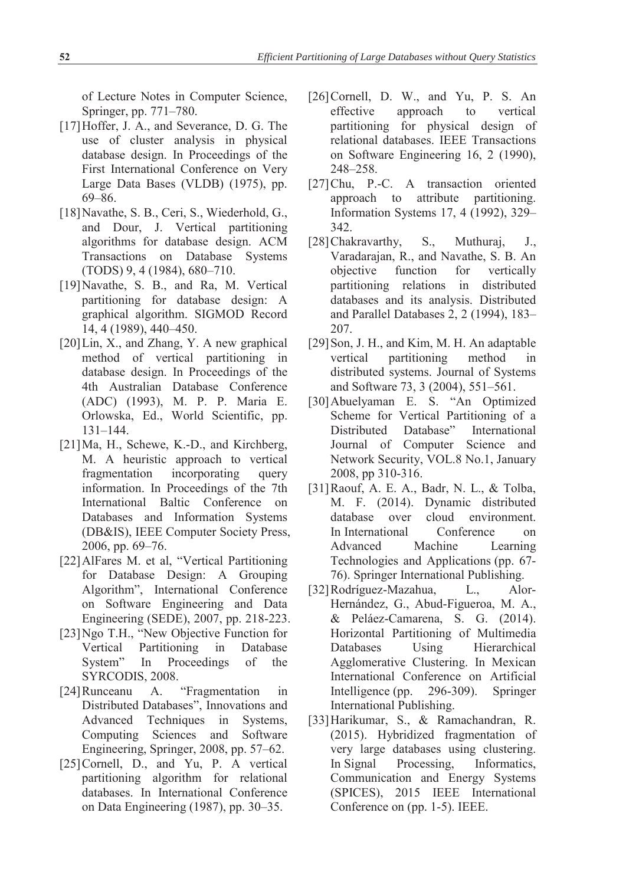of Lecture Notes in Computer Science, Springer, pp. 771–780.

- [17]Hoffer, J. A., and Severance, D. G. The use of cluster analysis in physical database design. In Proceedings of the First International Conference on Very Large Data Bases (VLDB) (1975), pp. 69–86.
- [18]Navathe, S. B., Ceri, S., Wiederhold, G., and Dour, J. Vertical partitioning algorithms for database design. ACM Transactions on Database Systems (TODS) 9, 4 (1984), 680–710.
- [19]Navathe, S. B., and Ra, M. Vertical partitioning for database design: A graphical algorithm. SIGMOD Record 14, 4 (1989), 440–450.
- [20]Lin, X., and Zhang, Y. A new graphical method of vertical partitioning in database design. In Proceedings of the 4th Australian Database Conference (ADC) (1993), M. P. P. Maria E. Orlowska, Ed., World Scientific, pp. 131–144.
- [21]Ma, H., Schewe, K.-D., and Kirchberg, M. A heuristic approach to vertical fragmentation incorporating query information. In Proceedings of the 7th International Baltic Conference on Databases and Information Systems (DB&IS), IEEE Computer Society Press, 2006, pp. 69–76.
- [22]AlFares M. et al, "Vertical Partitioning for Database Design: A Grouping Algorithm", International Conference on Software Engineering and Data Engineering (SEDE), 2007, pp. 218-223.
- [23]Ngo T.H., "New Objective Function for Vertical Partitioning in Database System" In Proceedings of the SYRCODIS, 2008.
- [24]Runceanu A. "Fragmentation in Distributed Databases", Innovations and Advanced Techniques in Systems, Computing Sciences and Software Engineering, Springer, 2008, pp. 57–62.
- [25]Cornell, D., and Yu, P. A vertical partitioning algorithm for relational databases. In International Conference on Data Engineering (1987), pp. 30–35.
- [26]Cornell, D. W., and Yu, P. S. An effective approach to vertical partitioning for physical design of relational databases. IEEE Transactions on Software Engineering 16, 2 (1990), 248–258.
- [27]Chu, P.-C. A transaction oriented approach to attribute partitioning. Information Systems 17, 4 (1992), 329– 342.
- [28] Chakravarthy, S., Muthuraj, J., Varadarajan, R., and Navathe, S. B. An objective function for vertically partitioning relations in distributed databases and its analysis. Distributed and Parallel Databases 2, 2 (1994), 183– 207.
- [29] Son, J. H., and Kim, M. H. An adaptable vertical partitioning method in distributed systems. Journal of Systems and Software 73, 3 (2004), 551–561.
- [30]Abuelyaman E. S. "An Optimized Scheme for Vertical Partitioning of a Distributed Database" International Journal of Computer Science and Network Security, VOL.8 No.1, January 2008, pp 310-316.
- [31]Raouf, A. E. A., Badr, N. L., & Tolba, M. F. (2014). Dynamic distributed database over cloud environment. In International Conference on Advanced Machine Learning Technologies and Applications (pp. 67- 76). Springer International Publishing.
- [32]Rodríguez-Mazahua, L., Alor-Hernández, G., Abud-Figueroa, M. A., & Peláez-Camarena, S. G. (2014). Horizontal Partitioning of Multimedia Databases Using Hierarchical Agglomerative Clustering. In Mexican International Conference on Artificial Intelligence (pp. 296-309). Springer International Publishing.
- [33]Harikumar, S., & Ramachandran, R. (2015). Hybridized fragmentation of very large databases using clustering. In Signal Processing, Informatics, Communication and Energy Systems (SPICES), 2015 IEEE International Conference on (pp. 1-5). IEEE.